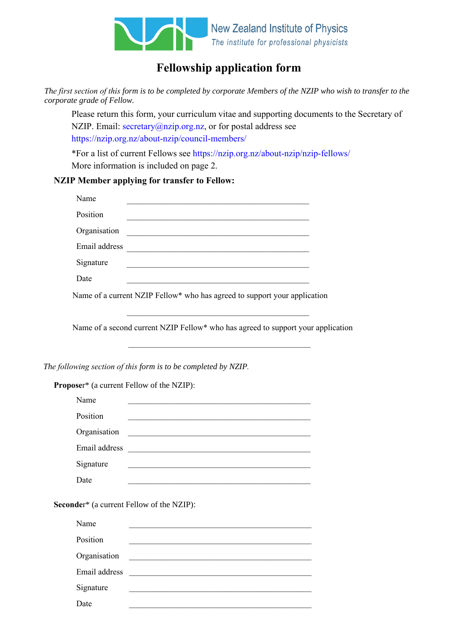

# **Fellowship application form**

*The first section of this form is to be completed by corporate Members of the NZIP who wish to transfer to the corporate grade of Fellow.*

Please return this form, your curriculum vitae and supporting documents to the Secretary of NZIP. Email: secretary@nzip.org.nz, or for postal address see https://nzip.org.nz/about-nzip/council-members/

\*For a list of current Fellows see https://nzip.org.nz/about-nzip/nzip-fellows/ More information is included on page 2.

## **NZIP Member applying for transfer to Fellow:**

| Name          |  |
|---------------|--|
| Position      |  |
| Organisation  |  |
| Email address |  |
| Signature     |  |
| Date          |  |

Name of a current NZIP Fellow\* who has agreed to support your application

Name of a second current NZIP Fellow\* who has agreed to support your application

\_\_\_\_\_\_\_\_\_\_\_\_\_\_\_\_\_\_\_\_\_\_\_\_\_\_\_\_\_\_\_\_\_\_\_\_\_\_\_\_\_\_\_\_

\_\_\_\_\_\_\_\_\_\_\_\_\_\_\_\_\_\_\_\_\_\_\_\_\_\_\_\_\_\_\_\_\_\_\_\_\_\_\_\_\_\_\_\_

*The following section of this form is to be completed by NZIP.*

**Propose**r\* (a current Fellow of the NZIP):

|                                                  | Name          |  |
|--------------------------------------------------|---------------|--|
|                                                  | Position      |  |
|                                                  | Organisation  |  |
|                                                  | Email address |  |
|                                                  | Signature     |  |
|                                                  | Date          |  |
|                                                  |               |  |
| <b>Seconder*</b> (a current Fellow of the NZIP): |               |  |
|                                                  |               |  |

| Name          |  |
|---------------|--|
| Position      |  |
| Organisation  |  |
| Email address |  |
| Signature     |  |
| Date          |  |